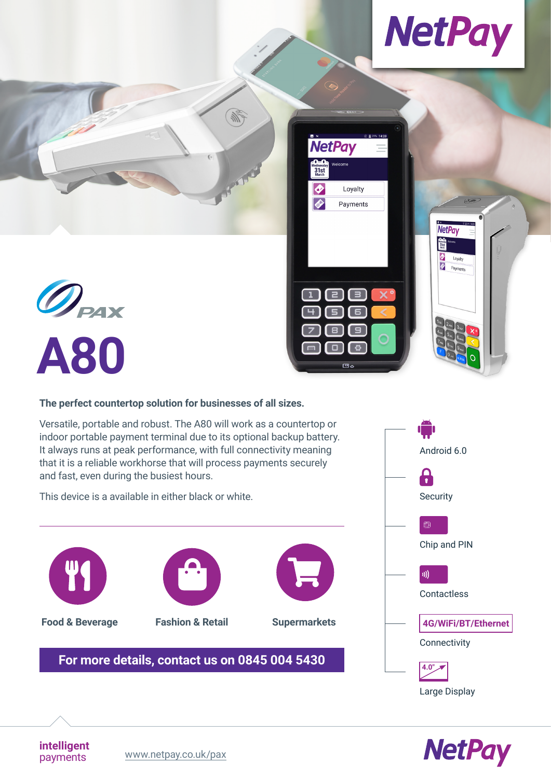

**NetPay**  $\begin{array}{c}\n\bullet \\
31st \\
\bullet\n\end{array}$ 

Loyalty<br>
Payments



#### **The perfect countertop solution for businesses of all sizes.**

Versatile, portable and robust. The A80 will work as a countertop or indoor portable payment terminal due to its optional backup battery. It always runs at peak performance, with full connectivity meaning that it is a reliable workhorse that will process payments securely and fast, even during the busiest hours.

**Alle** 

**NetPay** 

Loyalty

Payments

6  $\Box$ <u>් ප</u>

Vednesda<br>31st<br>March  $\overline{\bullet}$ 

 $\overline{\bullet}$ 

This device is a available in either black or white.







**intelligent**

payments [www.netpay.co.uk/pax](https://www.netpay.co.uk/pax)